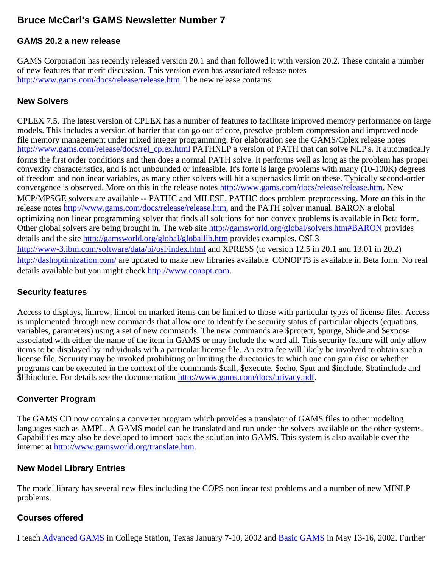# **Bruce McCarl's GAMS Newsletter Number 7**

### **GAMS 20.2 a new release**

GAMS Corporation has recently released version 20.1 and than followed it with version 20.2. These contain a number of new features that merit discussion. This version even has associated release notes [http://www.gams.com/docs/release/release.htm.](http://www.gams.com/docs/release/release.htm) The new release contains:

#### **New Solvers**

CPLEX 7.5. The latest version of CPLEX has a number of features to facilitate improved memory performance on large models. This includes a version of barrier that can go out of core, presolve problem compression and improved node file memory management under mixed integer programming. For elaboration see the GAMS/Cplex release notes [http://www.gams.com/release/docs/rel\\_cplex.html](http://www.gams.com/docs/release/rel_cplex.html) PATHNLP a version of PATH that can solve NLP's. It automatically forms the first order conditions and then does a normal PATH solve. It performs well as long as the problem has proper convexity characteristics, and is not unbounded or infeasible. It's forte is large problems with many (10-100K) degrees of freedom and nonlinear variables, as many other solvers will hit a superbasics limit on these. Typically second-order convergence is observed. More on this in the release notes [http://www.gams.com/docs/release/release.htm.](http://www.gams.com/docs/release/release.htm) New MCP/MPSGE solvers are available -- PATHC and MILESE. PATHC does problem preprocessing. More on this in the release notes [http://www.gams.com/docs/release/release.htm,](http://www.gams.com/docs/release/release.htm) and the PATH solver manual. BARON a global optimizing non linear programming solver that finds all solutions for non convex problems is available in Beta form. Other global solvers are being brought in. The web site <http://gamsworld.org/global/solvers.htm#BARON>provides details and the site <http://gamsworld.org/global/globallib.htm> provides examples. OSL3 <http://www-3.ibm.com/software/data/bi/osl/index.html> and XPRESS (to version 12.5 in 20.1 and 13.01 in 20.2) <http://dashoptimization.com/> are updated to make new libraries available. CONOPT3 is available in Beta form. No real details available but you might check [http://www.conopt.com.](http://www.conopt.com/)

#### **Security features**

Access to displays, limrow, limcol on marked items can be limited to those with particular types of license files. Access is implemented through new commands that allow one to identify the security status of particular objects (equations, variables, parameters) using a set of new commands. The new commands are \$protect, \$purge, \$hide and \$expose associated with either the name of the item in GAMS or may include the word all. This security feature will only allow items to be displayed by individuals with a particular license file. An extra fee will likely be involved to obtain such a license file. Security may be invoked prohibiting or limiting the directories to which one can gain disc or whether programs can be executed in the context of the commands \$call, \$execute, \$echo, \$put and \$include, \$batinclude and \$libinclude. For details see the documentation [http://www.gams.com/docs/privacy.pdf.](http://www.gams.com/docs/privacy.pdf)

#### **Converter Program**

The GAMS CD now contains a converter program which provides a translator of GAMS files to other modeling languages such as AMPL. A GAMS model can be translated and run under the solvers available on the other systems. Capabilities may also be developed to import back the solution into GAMS. This system is also available over the internet at [http://www.gamsworld.org/translate.htm.](http://www.gamsworld.org/translate.htm)

#### **New Model Library Entries**

The model library has several new files including the COPS nonlinear test problems and a number of new MINLP problems.

#### **Courses offered**

I teach [Advanced GAMS](http://www.gams.com/mccarl/advanced.htm) in College Station, Texas January 7-10, 2002 and [Basic GAMS](http://www.gams.com/mccarl/basic.htm) in May 13-16, 2002. Further